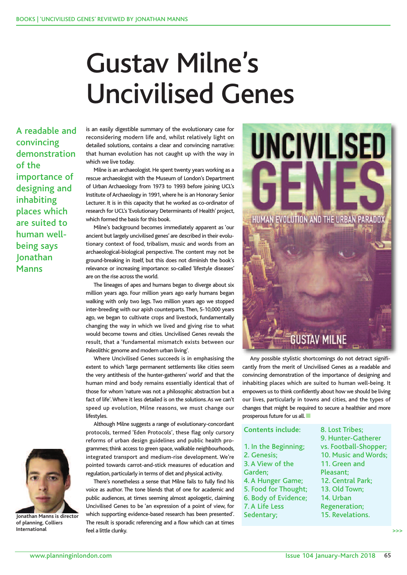## Gustav Milne's Uncivilised Genes

A readable and convincing demonstration of the importance of designing and inhabiting places which are suited to human wellbeing says Jonathan Manns



**Jonathan Manns is director of planning, Colliers International**

is an easily digestible summary of the evolutionary case for reconsidering modern life and, whilst relatively light on detailed solutions, contains a clear and convincing narrative: that human evolution has not caught up with the way in which we live today.

Milne is an archaeologist. He spent twenty years working as a rescue archaeologist with the Museum of London's Department of Urban Archaeology from 1973 to 1993 before joining UCL's Institute of Archaeology in 1991, where he is an Honorary Senior Lecturer. It is in this capacity that he worked as co-ordinator of research for UCL's 'Evolutionary Determinants of Health' project, which formed the basis for this book.

Milne's background becomes immediately apparent as 'our ancient but largely uncivilised genes' are described in their evolutionary context of food, tribalism, music and words from an archaeological-biological perspective. The content may not be ground-breaking in itself, but this does not diminish the book's relevance or increasing importance: so-called 'lifestyle diseases' are on the rise across the world.

The lineages of apes and humans began to diverge about six million years ago. Four million years ago early humans began walking with only two legs. Two million years ago we stopped inter-breeding with our apish counterparts.Then, 5-10,000 years ago, we began to cultivate crops and livestock, fundamentally changing the way in which we lived and giving rise to what would become towns and cities. Uncivilised Genes reveals the result, that a 'fundamental mismatch exists between our Paleolithic genome and modern urban living'.

Where Uncivilised Genes succeeds is in emphasising the extent to which 'large permanent settlements like cities seem the very antithesis of the hunter-gatherers' world' and that the human mind and body remains essentially identical that of those for whom 'nature was not a philosophic abstraction but a fact of life'.Where it less detailed is on the solutions.As we can't speed up evolution, Milne reasons, we must change our lifestyles.

Although Milne suggests a range of evolutionary-concordant protocols, termed 'Eden Protocols', these flag only cursory reforms of urban design guidelines and public health programmes;think access to green space, walkable neighbourhoods, integrated transport and medium-rise development. We're pointed towards carrot-and-stick measures of education and regulation, particularly in terms of diet and physical activity.

There's nonetheless a sense that Milne fails to fully find his voice as author. The tone blends that of one for academic and public audiences, at times seeming almost apologetic, claiming Uncivilised Genes to be 'an expression of a point of view, for which supporting evidence-based research has been presented'. The result is sporadic referencing and a flow which can at times feel a little clunky.



Any possible stylistic shortcomings do not detract significantly from the merit of Uncivilised Genes as a readable and convincing demonstration of the importance of designing and inhabiting places which are suited to human well-being. It empowers us to think confidently about how we should be living our lives, particularly in towns and cities, and the types of changes that might be required to secure a healthier and more prosperous future for us all.

| <b>Contents include:</b> | 8. Lost Tribes;       |
|--------------------------|-----------------------|
|                          | 9. Hunter-Gatherer    |
| 1. In the Beginning;     | vs. Football-Shopper; |
| 2. Genesis;              | 10. Music and Words;  |
| 3. A View of the         | 11. Green and         |
| Garden;                  | Pleasant;             |
| 4. A Hunger Game;        | 12. Central Park;     |
| 5. Food for Thought;     | 13. Old Town;         |
| 6. Body of Evidence;     | 14. Urban             |
| 7. A Life Less           | <b>Regeneration;</b>  |
| Sedentary;               | 15. Revelations.      |
|                          |                       |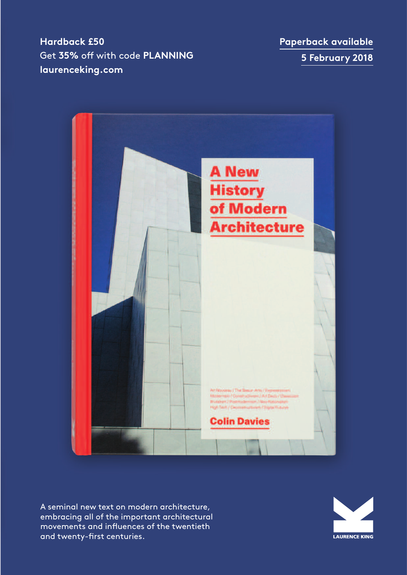**Hardback £50**  Get 35% off with code PLANNING **laurenceking.com**

**Paperback available 5 February 2018**



A seminal new text on modern architecture, embracing all of the important architectural movements and influences of the twentieth and twenty-first centuries.

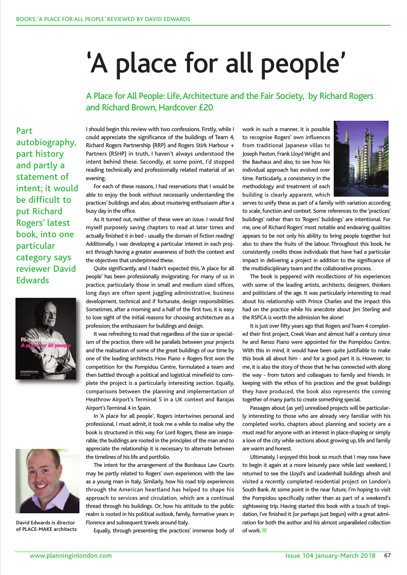# 'A place for all people'

A Place for All People: Life, Architecture and the Fair Society, by Richard Rogers and Richard Brown, Hardcover £20

Part autobiography, part history and partly a statement of intent; it would be difficult to put Richard Rogers' latest book, into one particular category says reviewer David **Edwards** 





**David Edwards is director of PLACE-MAKE architects**

I should begin this review with two confessions. Firstly, while I could appreciate the significance of the buildings of Team 4, Richard Rogers Partnership (RRP) and Rogers Stirk Harbour + Partners (RSHP) in truth, I haven't always understood the intent behind these. Secondly, at some point, I'd stopped reading technically and professionally related material of an evening.

For each of these reasons, I had reservations that I would be able to enjoy the book without necessarily understanding the practices' buildings and also, about mustering enthusiasm after a busy day in the office.

As it turned out, neither of these were an issue. I would find myself purposely saving chapters to read at later times and actually finished it in bed - usually the domain of fiction reading! Additionally, I was developing a particular interest in each project through having a greater awareness of both the context and the objectives that underpinned these.

Quite significantly, and I hadn't expected this, 'A place for all people' has been professionally invigorating. For many of us in practice, particularly those in small and medium sized offices, long days are often spent juggling administrative, business development, technical and if fortunate, design responsibilities. Sometimes, after a morning and a half of the first two, it is easy to lose sight of the initial reasons for choosing architecture as a profession; the enthusiasm for buildings and design.

It was refreshing to read that regardless of the size or specialism of the practice, there will be parallels between your projects and the realisation of some of the great buildings of our time by one of the leading architects. How Piano + Rogers first won the competition for the Pompidou Centre, formulated a team and then battled through a political and logistical minefield to complete the project is a particularly interesting section. Equally, comparisons between the planning and implementation of Heathrow Airport's Terminal 5 in a UK context and Barajas Airport's Terminal 4 in Spain.

In 'A place for all people', Rogers intertwines personal and professional. I must admit, it took me a while to realise why the book is structured in this way. For Lord Rogers, these are inseparable; the buildings are rooted in the principles of the man and to appreciate the relationship it is necessary to alternate between the timelines of his life and portfolio.

The intent for the arrangement of the Bordeaux Law Courts may be partly related to Rogers' own experiences with the law as a young man in Italy. Similarly, how his road trip experiences through the American heartland has helped to shape his approach to services and circulation, which are a continual thread through his buildings. Or, how his attitude to the public realm is rooted in his political outlook, family, formative years in Florence and subsequent travels around Italy.

Equally, through presenting the practices' immense body of

work in such a manner, it is possible to recognise Rogers' own influences from traditional Japanese villas to Joseph Paxton, Frank Lloyd Wright and the Bauhaus and also, to see how his individual approach has evolved over time. Particularly, a consistency in the methodology and treatment of each building is clearly apparent, which



serves to unify these as part of a family with variation according to scale, function and context. Some references to the 'practices' buildings' rather than to 'Rogers' buildings' are intentional. For me, one of Richard Rogers' most notable and endearing qualities appears to be not only his ability to bring people together but also to share the fruits of the labour. Throughout this book, he consistently credits those individuals that have had a particular impact in delivering a project in addition to the significance of the multidisciplinary team and the collaborative process.

The book is peppered with recollections of his experiences with some of the leading artists, architects, designers, thinkers and politicians of the age. It was particularly interesting to read about his relationship with Prince Charles and the impact this had on the practice while his anecdote about Jim Sterling and the RSPCA is worth the admission fee alone!

It is just over fifty years ago that Rogers and Team 4 completed their first project, Creek Vean and almost half a century since he and Renzo Piano were appointed for the Pompidou Centre. With this in mind, it would have been quite justifiable to make this book all about him - and for a good part it is. However, to me, it is also the story of those that he has connected with along the way - from tutors and colleagues to family and friends. In keeping with the ethos of his practices and the great buildings they have produced, the book also represents the coming together of many parts to create something special.

Passages about (as yet) unrealised projects will be particularly interesting to those who are already very familiar with his completed works, chapters about planning and society are a must read for anyone with an interest in place-shaping or simply a love of the city while sections about growing up, life and family are warm and honest.

Ultimately, I enjoyed this book so much that I may now have to begin it again at a more leisurely pace while last weekend, I returned to see the Lloyd's and Leadenhall buildings afresh and visited a recently completed residential project on London's South Bank.At some point in the near future, I'm hoping to visit the Pompidou specifically rather than as part of a weekend's sightseeing trip. Having started this book with a touch of trepidation, I've finished it (or perhaps just begun) with a great admiration for both the author and his almost unparalleled collection of work.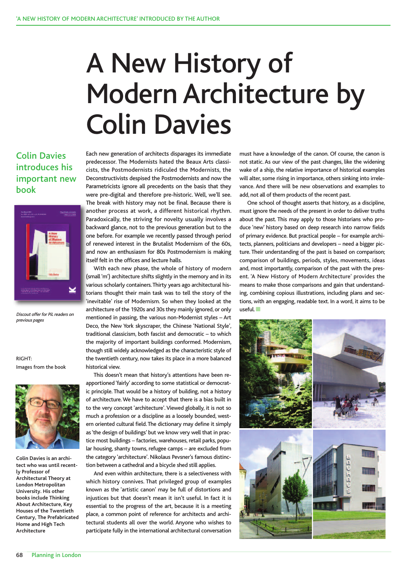## A New History of Modern Architecture by Colin Davies

#### Colin Davies introduces his important new book



Discout offer for PiL readers on previous pages

RIGHT: Images from the book



**Colin Davies is an architect who was until recently Professor of Architectural Theory at London Metropolitan University. His other books include Thinking About Architecture, Key Houses of the Twentieth Century, The Prefabricated Home and High Tech Architecture**

Each new generation of architects disparages its immediate predecessor. The Modernists hated the Beaux Arts classicists, the Postmodernists ridiculed the Modernists, the Deconstructivists despised the Postmodernists and now the Parametricists ignore all precedents on the basis that they were pre-digital and therefore pre-historic. Well, we'll see. The break with history may not be final. Because there is another process at work, a different historical rhythm. Paradoxically, the striving for novelty usually involves a backward glance, not to the previous generation but to the one before. For example we recently passed through period of renewed interest in the Brutalist Modernism of the 60s, and now an enthusiasm for 80s Postmodernism is making itself felt in the offices and lecture halls.

With each new phase, the whole of history of modern (small 'm') architecture shifts slightly in the memory and in its various scholarly containers.Thirty years ago architectural historians thought their main task was to tell the story of the 'inevitable' rise of Modernism. So when they looked at the architecture of the 1920s and 30s they mainly ignored, or only mentioned in passing, the various non-Modernist styles – Art Deco, the New York skyscraper, the Chinese 'National Style', traditional classicism, both fascist and democratic – to which the majority of important buildings conformed. Modernism, though still widely acknowledged as the characteristic style of the twentieth century, now takes its place in a more balanced historical view.

This doesn't mean that history's attentions have been reapportioned 'fairly' according to some statistical or democratic principle. That would be a history of building, not a history of architecture.We have to accept that there is a bias built in to the very concept 'architecture'.Viewed globally, it is not so much a profession or a discipline as a loosely bounded, western oriented cultural field.The dictionary may define it simply as 'the design of buildings' but we know very well that in practice most buildings – factories, warehouses, retail parks, popular housing, shanty towns, refugee camps – are excluded from the category 'architecture'. Nikolaus Pevsner's famous distinction between a cathedral and a bicycle shed still applies.

And even within architecture, there is a selectiveness with which history connives. That privileged group of examples known as the 'artistic canon' may be full of distortions and injustices but that doesn't mean it isn't useful. In fact it is essential to the progress of the art, because it is a meeting place, a common point of reference for architects and architectural students all over the world. Anyone who wishes to participate fully in the international architectural conversation must have a knowledge of the canon. Of course, the canon is not static. As our view of the past changes, like the widening wake of a ship, the relative importance of historical examples will alter, some rising in importance, others sinking into irrelevance. And there will be new observations and examples to add, not all of them products of the recent past.

One school of thought asserts that history, as a discipline, must ignore the needs of the present in order to deliver truths about the past. This may apply to those historians who produce 'new' history based on deep research into narrow fields of primary evidence. But practical people – for example architects, planners, politicians and developers – need a bigger picture. Their understanding of the past is based on comparison; comparison of buildings, periods, styles, movements, ideas and, most importantly, comparison of the past with the present. 'A New History of Modern Architecture' provides the means to make those comparisons and gain that understanding, combining copious illustrations, including plans and sections, with an engaging, readable text. In a word, it aims to be  $\mathsf{u}$ seful. $\blacksquare$ 

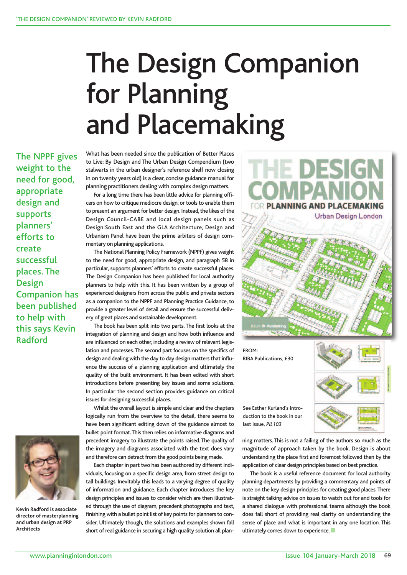# The Design Companion for Planning and Placemaking

The NPPF gives weight to the need for good, appropriate design and supports planners' efforts to create successful places. The Design Companion has been published to help with this says Kevin Radford



**Kevin Radford is associate director of masterplanning and urban design at PRP Architects**

What has been needed since the publication of Better Places to Live: By Design and The Urban Design Compendium (two stalwarts in the urban designer's reference shelf now closing in on twenty years old) is a clear, concise guidance manual for planning practitioners dealing with complex design matters.

For a long time there has been little advice for planning officers on how to critique mediocre design, or tools to enable them to present an argument for better design. Instead, the likes of the Design Council-CABE and local design panels such as Design:South East and the GLA Architecture, Design and Urbanism Panel have been the prime arbiters of design commentary on planning applications.

The National Planning Policy Framework (NPPF) gives weight to the need for good, appropriate design, and paragraph 58 in particular, supports planners' efforts to create successful places. The Design Companion has been published for local authority planners to help with this. It has been written by a group of experienced designers from across the public and private sectors as a companion to the NPPF and Planning Practice Guidance, to provide a greater level of detail and ensure the successful delivery of great places and sustainable development.

The book has been split into two parts. The first looks at the integration of planning and design and how both influence and are influenced on each other, including a review of relevant legislation and processes.The second part focuses on the specifics of design and dealing with the day to day design matters that influence the success of a planning application and ultimately the quality of the built environment. It has been edited with short introductions before presenting key issues and some solutions. In particular the second section provides guidance on critical issues for designing successful places.

Whilst the overall layout is simple and clear and the chapters logically run from the overview to the detail, there seems to have been significant editing down of the guidance almost to bullet point format.This then relies on informative diagrams and precedent imagery to illustrate the points raised. The quality of the imagery and diagrams associated with the text does vary and therefore can detract from the good points being made.

Each chapter in part two has been authored by different individuals, focusing on a specific design area, from street design to tall buildings. Inevitably this leads to a varying degree of quality of information and guidance. Each chapter introduces the key design principles and issues to consider which are then illustrated through the use of diagram, precedent photographs and text, finishing with a bullet point list of key points for planners to consider. Ultimately though, the solutions and examples shown fall short of real guidance in securing a high quality solution all plan-



duction to the book in our last issue, PiL103

ning matters. This is not a failing of the authors so much as the magnitude of approach taken by the book. Design is about understanding the place first and foremost followed then by the application of clear design principles based on best practice.

The book is a useful reference document for local authority planning departments by providing a commentary and points of note on the key design principles for creating good places.There is straight talking advice on issues to watch out for and tools for a shared dialogue with professional teams although the book does fall short of providing real clarity on understanding the sense of place and what is important in any one location. This ultimately comes down to experience.